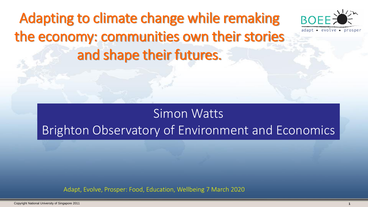Adapting to climate change while remaking the economy: communities own their stories and shape their futures.



#### Simon Watts Brighton Observatory of Environment and Economics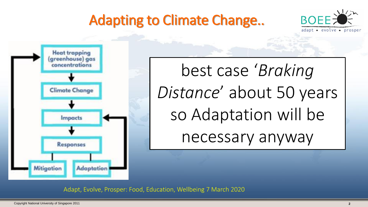# Adapting to Climate Change..





Political  $10025$ ycais  $\mathbf{c}$  $\mathsf{H}$  he  $i$ ct $\alpha$ r Distance' about 50 years economic and  $SOA$ best case '*Braking*  so Adaptation will be necessary anyway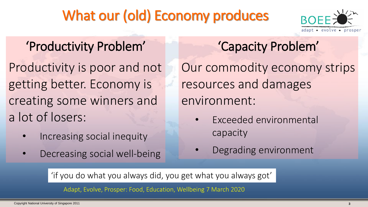# What our (old) Economy produces



#### 'Productivity Problem'

Productivity is poor and not getting better. Economy is creating some winners and a lot of losers:

- Increasing social inequity
- Decreasing social well-being

'Capacity Problem' Our commodity economy strips resources and damages environment:

- Exceeded environmental capacity
- Degrading environment

'if you do what you always did, you get what you always got'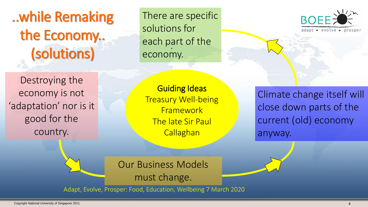# ..while Remaking the Economy.. (solutions)

. each part of the There are specific solutions for economy.



Climate change itself will close down parts of the current (old) economy anyway.

Destroying the economy is not 'adaptation' nor is it good for the country.

> Our Business Models must change.

Adapt, Evolve, Prosper: Food, Education, Wellbeing 7 March 2020

Guiding Ideas Treasury Well-being **Framework** The late Sir Paul **Callaghan**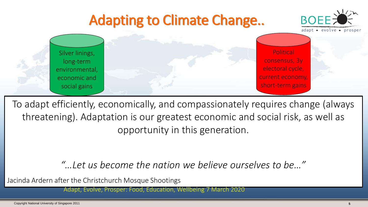

To adapt efficiently, economically, and compassionately requires change (always tillediening). Audpidtion is our greatest economic and social risk, as well as Increased well-being, more social  $H$ ealthy, reduced social website  $\mathcal{L}$ threatening). Adaptation is our greatest economic and social risk, as well as opportunity in this generation.

#### "... Let us become the nation we believe ourselves to be..."

Jacinda Ardern after the Christchurch Mosque Shootings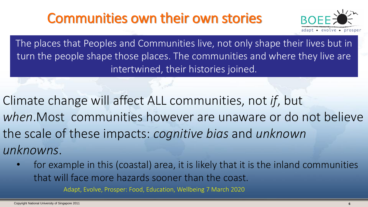#### Communities own their own stories



The places that Peoples and Communities live, not only shape their lives but in turn the people shape those places. The communities and where they live are intertwined, their histories joined.

Climate change will affect ALL communities, not *if*, but *when*.Most communities however are unaware or do not believe the scale of these impacts: *cognitive bias* and *unknown unknowns*.

for example in this (coastal) area, it is likely that it is the inland communities that will face more hazards sooner than the coast.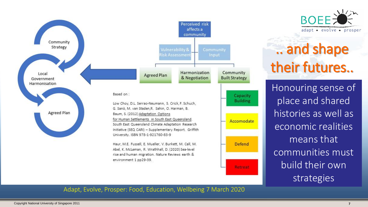

# .. and shape their futures..

Honouring sense of place and shared histories as well as economic realities means that communities must build their own strategies

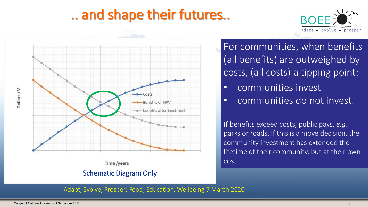### .. and shape their futures..





Time /years

Schematic Diagram Only

For communities, when benefits (all benefits) are outweighed by costs, (all costs) a tipping point:

- communities invest
- communities do not invest.

If benefits exceed costs, public pays, *e.g.*  parks or roads. If this is a move decision, the community investment has extended the lifetime of their community, but at their own cost.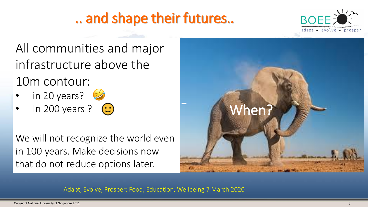# .. and shape their futures..



All communities and major infrastructure above the 10m contour:

- in 20 years?  $\mathcal{D}$
- In 200 years ?  $\odot$

We will not recognize the world even in 100 years. Make decisions now that do not reduce options later.